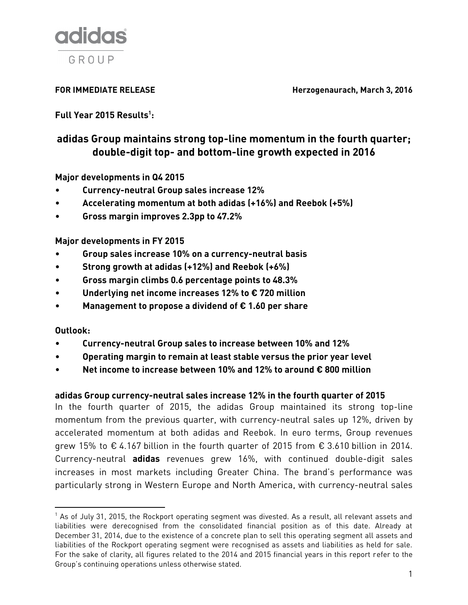

**FOR IMMEDIATE RELEASE Herzogenaurach, March 3, 2016** 

**Full Year 2015 Results<sup>1</sup> :**

# **adidas Group maintains strong top-line momentum in the fourth quarter; double-digit top- and bottom-line growth expected in 2016**

**Major developments in Q4 2015**

- **Currency-neutral Group sales increase 12%**
- **Accelerating momentum at both adidas (+16%) and Reebok (+5%)**
- **Gross margin improves 2.3pp to 47.2%**

**Major developments in FY 2015**

- **Group sales increase 10% on a currency-neutral basis**
- **Strong growth at adidas (+12%) and Reebok (+6%)**
- **Gross margin climbs 0.6 percentage points to 48.3%**
- **Underlying net income increases 12% to € 720 million**
- **Management to propose a dividend of € 1.60 per share**

## **Outlook:**

 $\overline{\phantom{a}}$ 

- **Currency-neutral Group sales to increase between 10% and 12%**
- **Operating margin to remain at least stable versus the prior year level**
- **Net income to increase between 10% and 12% to around € 800 million**

# **adidas Group currency-neutral sales increase 12% in the fourth quarter of 2015**

In the fourth quarter of 2015, the adidas Group maintained its strong top-line momentum from the previous quarter, with currency-neutral sales up 12%, driven by accelerated momentum at both adidas and Reebok. In euro terms, Group revenues grew 15% to € 4.167 billion in the fourth quarter of 2015 from  $€ 3.610$  billion in 2014. Currency-neutral **adidas** revenues grew 16%, with continued double-digit sales increases in most markets including Greater China. The brand's performance was particularly strong in Western Europe and North America, with currency-neutral sales

 $<sup>1</sup>$  As of July 31, 2015, the Rockport operating segment was divested. As a result, all relevant assets and</sup> liabilities were derecognised from the consolidated financial position as of this date. Already at December 31, 2014, due to the existence of a concrete plan to sell this operating segment all assets and liabilities of the Rockport operating segment were recognised as assets and liabilities as held for sale. For the sake of clarity, all figures related to the 2014 and 2015 financial years in this report refer to the Group's continuing operations unless otherwise stated.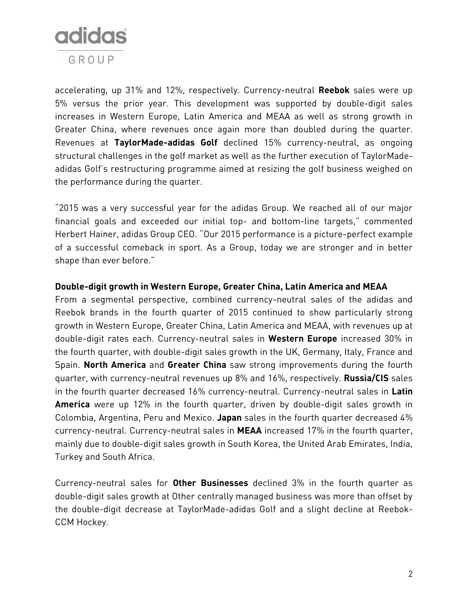

accelerating, up 31% and 12%, respectively. Currency-neutral **Reebok** sales were up 5% versus the prior year. This development was supported by double-digit sales increases in Western Europe, Latin America and MEAA as well as strong growth in Greater China, where revenues once again more than doubled during the quarter. Revenues at **TaylorMade-adidas Golf** declined 15% currency-neutral, as ongoing structural challenges in the golf market as well as the further execution of TaylorMadeadidas Golf's restructuring programme aimed at resizing the golf business weighed on the performance during the quarter.

"2015 was a very successful year for the adidas Group. We reached all of our major financial goals and exceeded our initial top- and bottom-line targets," commented Herbert Hainer, adidas Group CEO. "Our 2015 performance is a picture-perfect example of a successful comeback in sport. As a Group, today we are stronger and in better shape than ever before."

## **Double-digit growth in Western Europe, Greater China, Latin America and MEAA**

From a segmental perspective, combined currency-neutral sales of the adidas and Reebok brands in the fourth quarter of 2015 continued to show particularly strong growth in Western Europe, Greater China, Latin America and MEAA, with revenues up at double-digit rates each. Currency-neutral sales in **Western Europe** increased 30% in the fourth quarter, with double-digit sales growth in the UK, Germany, Italy, France and Spain. **North America** and **Greater China** saw strong improvements during the fourth quarter, with currency-neutral revenues up 8% and 16%, respectively. **Russia/CIS** sales in the fourth quarter decreased 16% currency-neutral. Currency-neutral sales in **Latin America** were up 12% in the fourth quarter, driven by double-digit sales growth in Colombia, Argentina, Peru and Mexico. **Japan** sales in the fourth quarter decreased 4% currency-neutral. Currency-neutral sales in **MEAA** increased 17% in the fourth quarter, mainly due to double-digit sales growth in South Korea, the United Arab Emirates, India, Turkey and South Africa.

Currency-neutral sales for **Other Businesses** declined 3% in the fourth quarter as double-digit sales growth at Other centrally managed business was more than offset by the double-digit decrease at TaylorMade-adidas Golf and a slight decline at Reebok-CCM Hockey.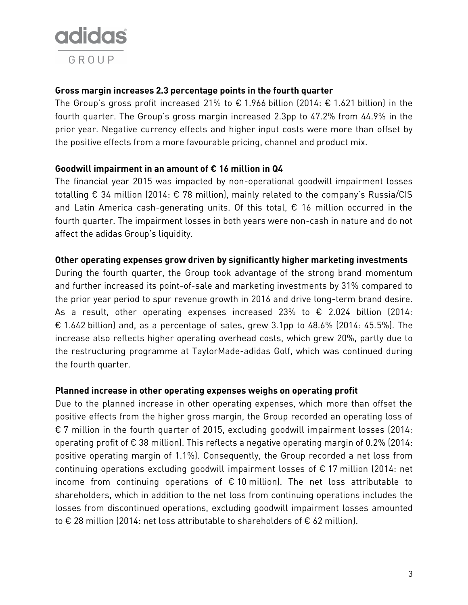

## **Gross margin increases 2.3 percentage points in the fourth quarter**

The Group's gross profit increased 21% to  $\epsilon$  1.966 billion (2014:  $\epsilon$  1.621 billion) in the fourth quarter. The Group's gross margin increased 2.3pp to 47.2% from 44.9% in the prior year. Negative currency effects and higher input costs were more than offset by the positive effects from a more favourable pricing, channel and product mix.

## **Goodwill impairment in an amount of € 16 million in Q4**

The financial year 2015 was impacted by non-operational goodwill impairment losses totalling € 34 million (2014: € 78 million), mainly related to the company's Russia/CIS and Latin America cash-generating units. Of this total,  $\epsilon$  16 million occurred in the fourth quarter. The impairment losses in both years were non-cash in nature and do not affect the adidas Group's liquidity.

## **Other operating expenses grow driven by significantly higher marketing investments**

During the fourth quarter, the Group took advantage of the strong brand momentum and further increased its point-of-sale and marketing investments by 31% compared to the prior year period to spur revenue growth in 2016 and drive long-term brand desire. As a result, other operating expenses increased 23% to  $\epsilon$  2.024 billion (2014: € 1.642 billion) and, as a percentage of sales, grew 3.1pp to 48.6% (2014: 45.5%). The increase also reflects higher operating overhead costs, which grew 20%, partly due to the restructuring programme at TaylorMade-adidas Golf, which was continued during the fourth quarter.

#### **Planned increase in other operating expenses weighs on operating profit**

Due to the planned increase in other operating expenses, which more than offset the positive effects from the higher gross margin, the Group recorded an operating loss of € 7 million in the fourth quarter of 2015, excluding goodwill impairment losses (2014: operating profit of  $\epsilon$  38 million). This reflects a negative operating margin of 0.2% (2014: positive operating margin of 1.1%). Consequently, the Group recorded a net loss from continuing operations excluding goodwill impairment losses of € 17 million (2014: net income from continuing operations of  $\epsilon$  10 million). The net loss attributable to shareholders, which in addition to the net loss from continuing operations includes the losses from discontinued operations, excluding goodwill impairment losses amounted to € 28 million (2014: net loss attributable to shareholders of € 62 million).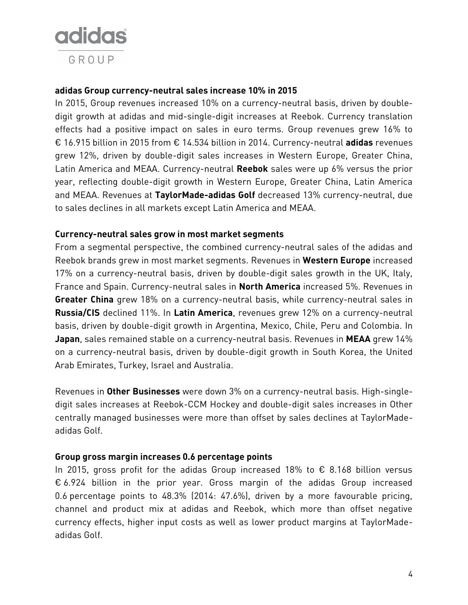

## **adidas Group currency-neutral sales increase 10% in 2015**

In 2015, Group revenues increased 10% on a currency-neutral basis, driven by doubledigit growth at adidas and mid-single-digit increases at Reebok. Currency translation effects had a positive impact on sales in euro terms. Group revenues grew 16% to € 16.915 billion in 2015 from € 14.534 billion in 2014. Currency-neutral **adidas** revenues grew 12%, driven by double-digit sales increases in Western Europe, Greater China, Latin America and MEAA. Currency-neutral **Reebok** sales were up 6% versus the prior year, reflecting double-digit growth in Western Europe, Greater China, Latin America and MEAA. Revenues at **TaylorMade-adidas Golf** decreased 13% currency-neutral, due to sales declines in all markets except Latin America and MEAA.

#### **Currency-neutral sales grow in most market segments**

From a segmental perspective, the combined currency-neutral sales of the adidas and Reebok brands grew in most market segments. Revenues in **Western Europe** increased 17% on a currency-neutral basis, driven by double-digit sales growth in the UK, Italy, France and Spain. Currency-neutral sales in **North America** increased 5%. Revenues in **Greater China** grew 18% on a currency-neutral basis, while currency-neutral sales in **Russia/CIS** declined 11%. In **Latin America**, revenues grew 12% on a currency-neutral basis, driven by double-digit growth in Argentina, Mexico, Chile, Peru and Colombia. In **Japan**, sales remained stable on a currency-neutral basis. Revenues in **MEAA** grew 14% on a currency-neutral basis, driven by double-digit growth in South Korea, the United Arab Emirates, Turkey, Israel and Australia.

Revenues in **Other Businesses** were down 3% on a currency-neutral basis. High-singledigit sales increases at Reebok-CCM Hockey and double-digit sales increases in Other centrally managed businesses were more than offset by sales declines at TaylorMadeadidas Golf.

#### **Group gross margin increases 0.6 percentage points**

In 2015, gross profit for the adidas Group increased 18% to  $\epsilon$  8.168 billion versus € 6.924 billion in the prior year. Gross margin of the adidas Group increased 0.6 percentage points to 48.3% (2014: 47.6%), driven by a more favourable pricing, channel and product mix at adidas and Reebok, which more than offset negative currency effects, higher input costs as well as lower product margins at TaylorMadeadidas Golf.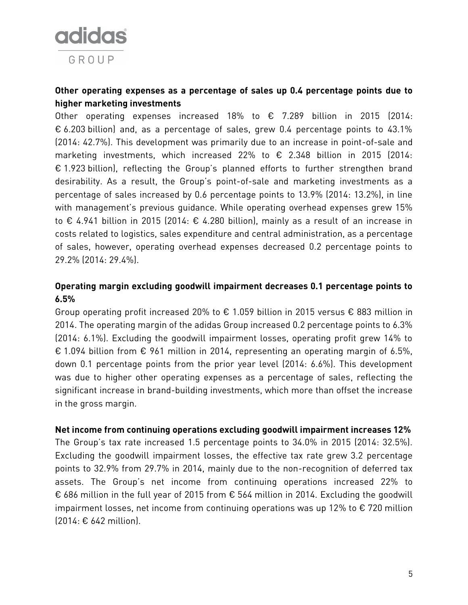

# **Other operating expenses as a percentage of sales up 0.4 percentage points due to higher marketing investments**

Other operating expenses increased 18% to € 7.289 billion in 2015 (2014: € 6.203 billion) and, as a percentage of sales, grew 0.4 percentage points to 43.1% (2014: 42.7%). This development was primarily due to an increase in point-of-sale and marketing investments, which increased 22% to € 2.348 billion in 2015 (2014: € 1.923 billion), reflecting the Group's planned efforts to further strengthen brand desirability. As a result, the Group's point-of-sale and marketing investments as a percentage of sales increased by 0.6 percentage points to 13.9% (2014: 13.2%), in line with management's previous guidance. While operating overhead expenses grew 15% to € 4.941 billion in 2015 (2014: € 4.280 billion), mainly as a result of an increase in costs related to logistics, sales expenditure and central administration, as a percentage of sales, however, operating overhead expenses decreased 0.2 percentage points to 29.2% (2014: 29.4%).

# **Operating margin excluding goodwill impairment decreases 0.1 percentage points to 6.5%**

Group operating profit increased 20% to  $\epsilon$  1.059 billion in 2015 versus  $\epsilon$  883 million in 2014. The operating margin of the adidas Group increased 0.2 percentage points to 6.3% (2014: 6.1%). Excluding the goodwill impairment losses, operating profit grew 14% to € 1.094 billion from  $\epsilon$  961 million in 2014, representing an operating margin of 6.5%, down 0.1 percentage points from the prior year level (2014: 6.6%). This development was due to higher other operating expenses as a percentage of sales, reflecting the significant increase in brand-building investments, which more than offset the increase in the gross margin.

#### **Net income from continuing operations excluding goodwill impairment increases 12%**

The Group's tax rate increased 1.5 percentage points to 34.0% in 2015 (2014: 32.5%). Excluding the goodwill impairment losses, the effective tax rate grew 3.2 percentage points to 32.9% from 29.7% in 2014, mainly due to the non-recognition of deferred tax assets. The Group's net income from continuing operations increased 22% to € 686 million in the full year of 2015 from € 564 million in 2014. Excluding the goodwill impairment losses, net income from continuing operations was up 12% to  $\epsilon$  720 million (2014: € 642 million).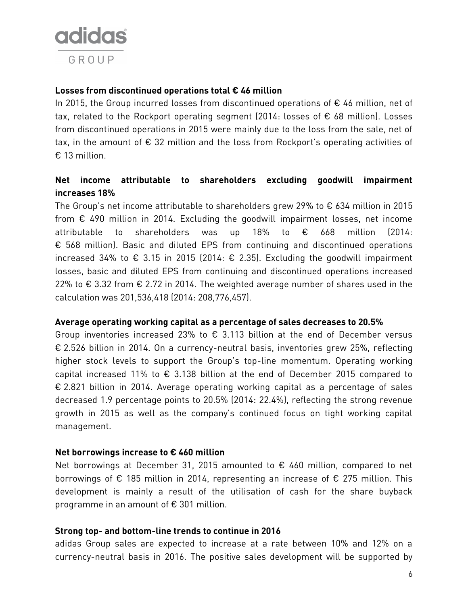

## **Losses from discontinued operations total € 46 million**

In 2015, the Group incurred losses from discontinued operations of  $\epsilon$  46 million, net of tax, related to the Rockport operating segment (2014: losses of  $\epsilon$  68 million). Losses from discontinued operations in 2015 were mainly due to the loss from the sale, net of tax, in the amount of  $\epsilon$  32 million and the loss from Rockport's operating activities of € 13 million.

## **Net income attributable to shareholders excluding goodwill impairment increases 18%**

The Group's net income attributable to shareholders grew 29% to € 634 million in 2015 from  $\epsilon$  490 million in 2014. Excluding the goodwill impairment losses, net income attributable to shareholders was up 18% to € 668 million (2014: € 568 million). Basic and diluted EPS from continuing and discontinued operations increased 34% to € 3.15 in 2015 (2014:  $\epsilon$  2.35). Excluding the goodwill impairment losses, basic and diluted EPS from continuing and discontinued operations increased 22% to € 3.32 from  $\epsilon$  2.72 in 2014. The weighted average number of shares used in the calculation was 201,536,418 (2014: 208,776,457).

#### **Average operating working capital as a percentage of sales decreases to 20.5%**

Group inventories increased 23% to  $\epsilon$  3.113 billion at the end of December versus € 2.526 billion in 2014. On a currency-neutral basis, inventories grew 25%, reflecting higher stock levels to support the Group's top-line momentum. Operating working capital increased 11% to  $\epsilon$  3.138 billion at the end of December 2015 compared to € 2.821 billion in 2014. Average operating working capital as a percentage of sales decreased 1.9 percentage points to 20.5% (2014: 22.4%), reflecting the strong revenue growth in 2015 as well as the company's continued focus on tight working capital management.

#### **Net borrowings increase to € 460 million**

Net borrowings at December 31, 2015 amounted to  $\epsilon$  460 million, compared to net borrowings of € 185 million in 2014, representing an increase of € 275 million. This development is mainly a result of the utilisation of cash for the share buyback programme in an amount of  $\epsilon$  301 million.

#### **Strong top- and bottom-line trends to continue in 2016**

adidas Group sales are expected to increase at a rate between 10% and 12% on a currency-neutral basis in 2016. The positive sales development will be supported by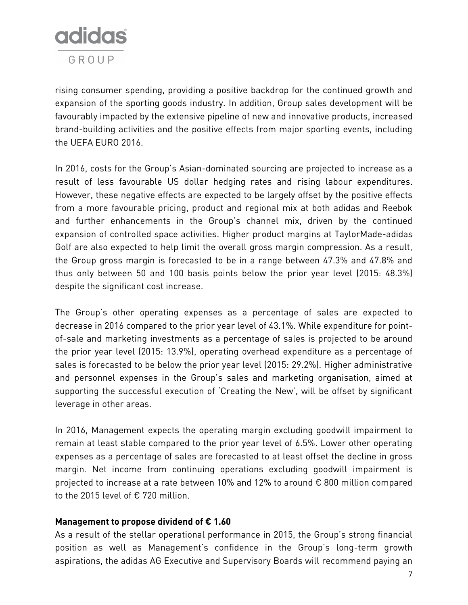

rising consumer spending, providing a positive backdrop for the continued growth and expansion of the sporting goods industry. In addition, Group sales development will be favourably impacted by the extensive pipeline of new and innovative products, increased brand-building activities and the positive effects from major sporting events, including the UEFA EURO 2016.

In 2016, costs for the Group's Asian-dominated sourcing are projected to increase as a result of less favourable US dollar hedging rates and rising labour expenditures. However, these negative effects are expected to be largely offset by the positive effects from a more favourable pricing, product and regional mix at both adidas and Reebok and further enhancements in the Group's channel mix, driven by the continued expansion of controlled space activities. Higher product margins at TaylorMade-adidas Golf are also expected to help limit the overall gross margin compression. As a result, the Group gross margin is forecasted to be in a range between 47.3% and 47.8% and thus only between 50 and 100 basis points below the prior year level (2015: 48.3%) despite the significant cost increase.

The Group's other operating expenses as a percentage of sales are expected to decrease in 2016 compared to the prior year level of 43.1%. While expenditure for pointof-sale and marketing investments as a percentage of sales is projected to be around the prior year level (2015: 13.9%), operating overhead expenditure as a percentage of sales is forecasted to be below the prior year level (2015: 29.2%). Higher administrative and personnel expenses in the Group's sales and marketing organisation, aimed at supporting the successful execution of 'Creating the New', will be offset by significant leverage in other areas.

In 2016, Management expects the operating margin excluding goodwill impairment to remain at least stable compared to the prior year level of 6.5%. Lower other operating expenses as a percentage of sales are forecasted to at least offset the decline in gross margin. Net income from continuing operations excluding goodwill impairment is projected to increase at a rate between 10% and 12% to around € 800 million compared to the 2015 level of € 720 million.

## **Management to propose dividend of € 1.60**

As a result of the stellar operational performance in 2015, the Group's strong financial position as well as Management's confidence in the Group's long-term growth aspirations, the adidas AG Executive and Supervisory Boards will recommend paying an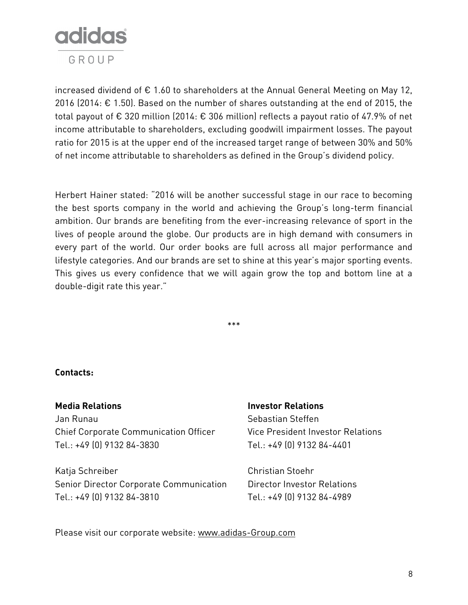

increased dividend of  $\epsilon$  1.60 to shareholders at the Annual General Meeting on May 12, 2016 (2014: € 1.50). Based on the number of shares outstanding at the end of 2015, the total payout of € 320 million (2014: € 306 million) reflects a payout ratio of 47.9% of net income attributable to shareholders, excluding goodwill impairment losses. The payout ratio for 2015 is at the upper end of the increased target range of between 30% and 50% of net income attributable to shareholders as defined in the Group's dividend policy.

Herbert Hainer stated: "2016 will be another successful stage in our race to becoming the best sports company in the world and achieving the Group's long-term financial ambition. Our brands are benefiting from the ever-increasing relevance of sport in the lives of people around the globe. Our products are in high demand with consumers in every part of the world. Our order books are full across all major performance and lifestyle categories. And our brands are set to shine at this year's major sporting events. This gives us every confidence that we will again grow the top and bottom line at a double-digit rate this year."

\*\*\*

**Contacts:**

Jan Runau Sebastian Steffen Chief Corporate Communication Officer Vice President Investor Relations Tel.: +49 (0) 9132 84-3830 Tel.: +49 (0) 9132 84-4401

Katja Schreiber Christian Stoehr Senior Director Corporate Communication Director Investor Relations Tel.: +49 (0) 9132 84-3810 Tel.: +49 (0) 9132 84-4989

#### **Media Relations Investor Relations**

Please visit our corporate website: [www.adidas-Group.com](http://www.adidas-group.com/)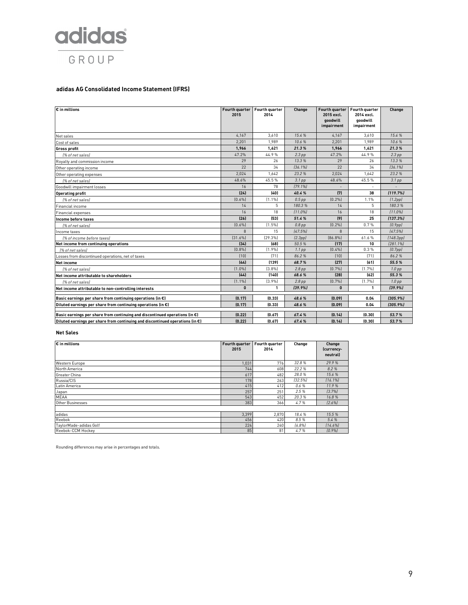

#### **adidas AG Consolidated Income Statement (IFRS)**

| $\overline{\varepsilon}$ in millions                                                    | Fourth quarter<br>2015 | Fourth quarter<br>2014 | Change            | Fourth quarter<br>2015 excl.<br>goodwill<br>impairment | Fourth quarter<br>2014 excl.<br>aoodwill<br>impairment | Change               |
|-----------------------------------------------------------------------------------------|------------------------|------------------------|-------------------|--------------------------------------------------------|--------------------------------------------------------|----------------------|
| Net sales                                                                               | 4.167                  | 3.610                  | 15.4%             | 4,167                                                  | 3,610                                                  | 15.4%                |
| Cost of sales                                                                           | 2,201                  | 1,989                  | 10.6%             | 2,201                                                  | 1,989                                                  | 10.6%                |
| <b>Gross profit</b>                                                                     | 1,966                  | 1,621                  | 21.3%             | 1,966                                                  | 1,621                                                  | 21.3%                |
| [% of net sales]                                                                        | 47.2%                  | 44.9%                  | $2.3$ pp          | 47.2%                                                  | 44.9%                                                  | $2.3$ pp             |
| Royalty and commission income                                                           | 29                     | 26                     | 13.3%             | 29                                                     | 26                                                     | 13.3%                |
| Other operating income                                                                  | 22                     | 34                     | 136.1%            | 22                                                     | 34                                                     | [36.1%]              |
| Other operating expenses                                                                | 2.024                  | 1.642                  | 23.2%             | 2,024                                                  | 1,642                                                  | 23.2%                |
| I% of net sales)                                                                        | 48.6%                  | 45.5%                  | 3.1 <sub>pp</sub> | 48.6%                                                  | 45.5%                                                  | $3.1$ pp             |
| Goodwill impairment losses                                                              | 16                     | 78                     | [79.1%]           |                                                        |                                                        |                      |
| <b>Operating profit</b>                                                                 | (24)                   | (40)                   | 40.4%             | (7)                                                    | 38                                                     | [119.7%]             |
| (% of net sales)                                                                        | [0.6%]                 | (1.1%                  | $0.5$ pp          | (0.2%                                                  | 1.1%                                                   | (1.2pp)              |
| Financial income                                                                        | 14                     | 5                      | 180.3%            | 14                                                     | 5                                                      | 180.3%               |
| <b>Financial expenses</b>                                                               | 16                     | 18                     | 111.0%            | 16                                                     | 18                                                     | 111.0%               |
| Income before taxes                                                                     | (26)                   | (53)                   | 51.4%             | (9)                                                    | 25                                                     | [137.3%]             |
| [% of net sales]                                                                        | [0.6%]                 | (1.5%                  | $0.8$ pp          | [0.2%]                                                 | 0.7%                                                   | (0.9 <sub>pp</sub> ) |
| Income taxes                                                                            | $\mathsf{R}$           | 15                     | [47.5%]           | $\mathsf{R}$                                           | 15                                                     | [47.5%]              |
| l% of income before taxes)                                                              | [31.6%]                | [29.3%]                | (2.3pp)           | [86.8%]                                                | 61.6%                                                  | (148.3pp)            |
| Net income from continuing operations                                                   | (34)                   | (68)                   | 50.5%             | (17)                                                   | 10                                                     | [281.1%]             |
| 1% of net sales)                                                                        | [0.8%]                 | (1.9%                  | $1.1$ pp          | (0.4%                                                  | 0.3%                                                   | (0.7 <sub>pp</sub> ) |
| Losses from discontinued operations, net of taxes                                       | [10]                   | [71]                   | 86.2%             | [10]                                                   | (71)                                                   | 86.2%                |
| <b>Net income</b>                                                                       | (44)                   | (139)                  | 68.7%             | (27)                                                   | (61)                                                   | 55.5%                |
| l% of net sales)                                                                        | [1.0%]                 | (3.8%)                 | $2.8$ pp          | (0.7%                                                  | (1.7%                                                  | 1.0 <sub>pp</sub>    |
| Net income attributable to shareholders                                                 | (44)                   | (140)                  | 68.6%             | [28]                                                   | [62]                                                   | 55.3%                |
| (% of net sales)                                                                        | (1.1%                  | (3.9%)                 | $2.8$ pp          | (0.7%                                                  | (1.7%                                                  | 1.0 <sub>pp</sub>    |
| Net income attributable to non-controlling interests                                    | $\mathbf{0}$           | 1                      | (39.9%            | $\bf{0}$                                               | $\mathbf{1}$                                           | (39.9%               |
| Basic earnings per share from continuing operations (in $\epsilon$ )                    | (0.17)                 | (0.33)                 | 48.6%             | (0.09)                                                 | 0.04                                                   | [305.9%]             |
| Diluted earnings per share from continuing operations (in $\epsilon$ )                  | (0.17)                 | (0.33)                 | 48.6%             | (0.09)                                                 | 0.04                                                   | (305.9%)             |
| Basic earnings per share from continuing and discontinued operations (in $\epsilon$ )   | (0.22)                 | (0.67)                 | 67.4%             | (0.14)                                                 | (0.30)                                                 | 53.7%                |
| Diluted earnings per share from continuing and discontinued operations (in $\epsilon$ ) | (0.22)                 | (0.67)                 | 67.4%             | (0.14)                                                 | (0.30)                                                 | 53.7%                |

#### **Net Sales**

| $\epsilon$ in millions | Fourth quarter | Fourth quarter | Change  | Change     |
|------------------------|----------------|----------------|---------|------------|
|                        | 2015           | 2014           |         | (currency- |
|                        |                |                |         | neutrall   |
| Western Europe         | 1,031          | 776            | 32.8%   | 29.9%      |
| North America          | 744            | 608            | 22.2%   | 8.2%       |
| Greater China          | 617            | 482            | 28.0%   | 15.6%      |
| Russia/CIS             | 178            | 263            | [32.5%] | 116.1%     |
| Latin America          | 415            | 412            | 0.6%    | 11.9%      |
| Japan                  | 257            | 251            | 2.5%    | [3.7%]     |
| <b>MEAA</b>            | 543            | 452            | 20.3%   | 16.8%      |
| Other Businesses       | 383            | 366            | 4.7%    | [2.6%]     |
|                        |                |                |         |            |
| adidas                 | 3,399          | 2,870          | 18.4%   | 15.5%      |
| Reebok                 | 456            | 420            | 8.5%    | 5.4 %      |
| TaylorMade-adidas Golf | 224            | 240            | 16.8%   | 114.6%     |
| Reebok-CCM Hockey      | 85             | 81             | 4.7%    | (0.9%      |

Rounding differences may arise in percentages and totals.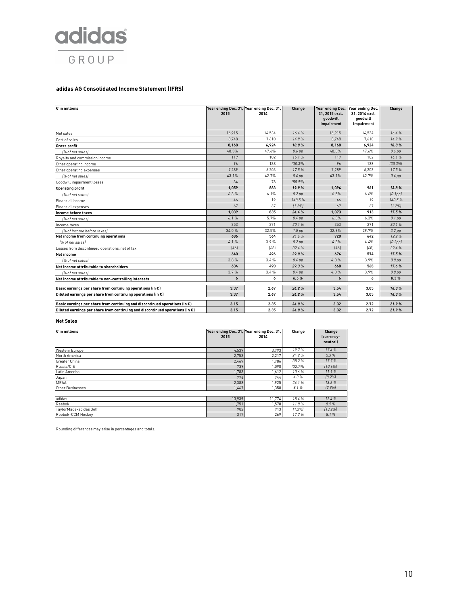

#### **adidas AG Consolidated Income Statement (IFRS)**

| $E$ in millions                                                                         | 2015   | Year ending Dec. 31, Year ending Dec. 31,<br>2014 | Change   | Year ending Dec.<br>31, 2015 excl.<br>goodwill<br>impairment | Year ending Dec.<br>31, 2014 excl.<br>goodwill<br>impairment | Change   |
|-----------------------------------------------------------------------------------------|--------|---------------------------------------------------|----------|--------------------------------------------------------------|--------------------------------------------------------------|----------|
| Net sales                                                                               | 16.915 | 14,534                                            | 16.4%    | 16.915                                                       | 14,534                                                       | 16.4%    |
| Cost of sales                                                                           | 8,748  | 7,610                                             | 14.9%    | 8,748                                                        | 7,610                                                        | 14.9%    |
| <b>Gross profit</b>                                                                     | 8.168  | 6.924                                             | 18.0%    | 8,168                                                        | 6,924                                                        | 18.0%    |
| [% of net sales]                                                                        | 48.3%  | 47.6%                                             | $0.6$ pp | 48.3%                                                        | 47.6%                                                        | $0.6$ pp |
| Royalty and commission income                                                           | 119    | 102                                               | 16.1%    | 119                                                          | 102                                                          | 16.1%    |
| Other operating income                                                                  | 96     | 138                                               | 130.3%   | 96                                                           | 138                                                          | [30.3%]  |
| Other operating expenses                                                                | 7.289  | 6,203                                             | 17.5%    | 7,289                                                        | 6,203                                                        | 17.5%    |
| l% of net sales)                                                                        | 43.1%  | 42.7%                                             | $0.4$ pp | 43.1%                                                        | 42.7%                                                        | $0.4$ pp |
| Goodwill impairment losses                                                              | 34     | 78                                                | [55.9%]  |                                                              |                                                              |          |
| <b>Operating profit</b>                                                                 | 1.059  | 883                                               | 19.9%    | 1.094                                                        | 961                                                          | 13.8%    |
| (% of net sales)                                                                        | 6.3%   | 6.1%                                              | $0.2$ pp | 6.5%                                                         | 6.6%                                                         | (0.1pp)  |
| Financial income                                                                        | 46     | 19                                                | 140.5%   | 46                                                           | 19                                                           | 140.5%   |
| Financial expenses                                                                      | 67     | 67                                                | [1.2%]   | 67                                                           | 67                                                           | [1.2%]   |
| Income before taxes                                                                     | 1.039  | 835                                               | 24.4%    | 1.073                                                        | 913                                                          | 17.5%    |
| I% of net salesi                                                                        | 6.1%   | 5.7%                                              | $0.4$ pp | 6.3%                                                         | 6.3%                                                         | $0.1$ pp |
| Income taxes                                                                            | 353    | 271                                               | 30.1%    | 353                                                          | 271                                                          | 30.1%    |
| (% of income before taxes)                                                              | 34.0%  | 32.5%                                             | $1.5$ pp | 32.9%                                                        | 29.7%                                                        | $3.2$ pp |
| Net income from continuing operations                                                   | 686    | 564                                               | 21.6%    | 720                                                          | 642                                                          | 12.2%    |
| [% of net sales]                                                                        | 4.1%   | 3.9%                                              | $0.2$ pp | 4.3%                                                         | 4.4%                                                         | (0.2pp)  |
| Losses from discontinued operations, net of tax                                         | [46]   | [68]                                              | 32.4 %   | $[46]$                                                       | [68]                                                         | 32.4%    |
| Net income                                                                              | 640    | 496                                               | 29.0%    | 674                                                          | 574                                                          | 17.5%    |
| l% of net salesl                                                                        | 3.8%   | 3.4%                                              | $0.4$ pp | 4.0%                                                         | 3.9%                                                         | $0.0$ pp |
| Net income attributable to shareholders                                                 | 634    | 490                                               | 29.3%    | 668                                                          | 568                                                          | 17.6%    |
| l% of net salesl                                                                        | 3.7%   | 3.4%                                              | $0.4$ pp | 4.0%                                                         | 3.9%                                                         | $0.0$ pp |
| Net income attributable to non-controlling interests                                    | 6      | 6                                                 | 0.5%     | 6                                                            | 6                                                            | 0.5%     |
| Basic earnings per share from continuing operations (in $\epsilon$ )                    | 3.37   | 2.67                                              | 26.2%    | 3.54                                                         | 3.05                                                         | 16.3%    |
| Diluted earnings per share from continuing operations (in $\epsilon$ )                  | 3.37   | 2.67                                              | 26.2%    | 3.54                                                         | 3.05                                                         | 16.3%    |
| Basic earnings per share from continuing and discontinued operations (in $\epsilon$ )   | 3.15   | 2.35                                              | 34.0%    | 3.32                                                         | 2.72                                                         | 21.9%    |
| Diluted earnings per share from continuing and discontinued operations (in $\epsilon$ ) | 3.15   | 2.35                                              | 34.0%    | 3.32                                                         | 2.72                                                         | 21.9%    |
|                                                                                         |        |                                                   |          |                                                              |                                                              |          |

#### **Net Sales**

| $\varepsilon$ in millions | Year ending Dec. 31, Year ending Dec. 31,<br>2015 | 2014   | Change  | Change<br>(currency-<br>neutral |
|---------------------------|---------------------------------------------------|--------|---------|---------------------------------|
| Western Europe            | 4,539                                             | 3,793  | 19.7%   | 17.4 %                          |
| North America             | 2,753                                             | 2,217  | 24.2%   | 5.3%                            |
| Greater China             | 2,469                                             | 1.786  | 38.2%   | 17.7%                           |
| Russia/CIS                | 739                                               | 1.098  | [32.7%] | (10.6%)                         |
| Latin America             | 1,783                                             | 1,612  | 10.6%   | 11.9%                           |
| Japan                     | 776                                               | 744    | 4.3%    | [0.2%]                          |
| MEAA                      | 2,388                                             | 1.925  | 24.1%   | 13.6%                           |
| Other Businesses          | 1,467                                             | 1.358  | 8.1%    | [2.9%]                          |
|                           |                                                   |        |         |                                 |
| adidas                    | 13,939                                            | 11.774 | 18.4 %  | 12.4 %                          |
| Reebok                    | 1.751                                             | 1.578  | 11.0%   | 5.9%                            |
| TaylorMade-adidas Golf    | 902                                               | 913    | [1.3%]  | [13.2%]                         |
| Reebok-CCM Hockey         | 317                                               | 269    | 17.7%   | 8.1%                            |

Rounding differences may arise in percentages and totals.